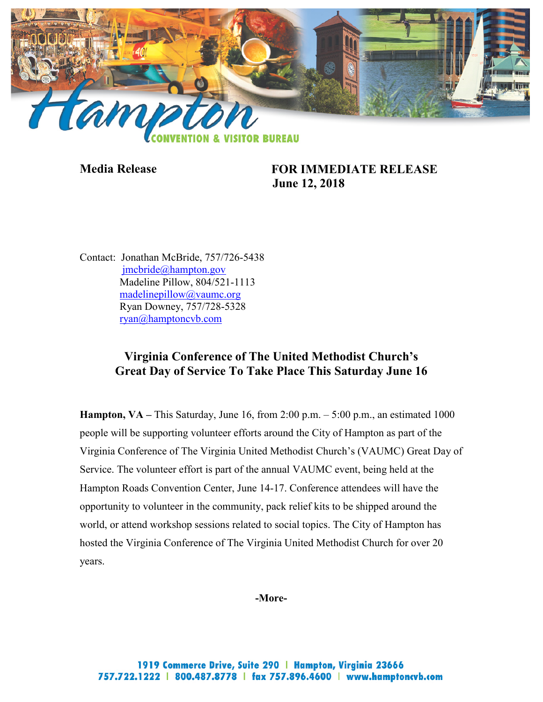

**Media Release FOR IMMEDIATE RELEASE June 12, 2018**

Contact: Jonathan McBride, 757/726-5438 [jmcbride@hampton.gov](mailto:jmcbride@hampton.gov) Madeline Pillow, 804/521-1113 [madelinepillow@vaumc.org](mailto:madelinepillow@vaumc.org) Ryan Downey, 757/728-5328 [ryan@hamptoncvb.com](mailto:ryan@hamptoncvb.com)

## **Virginia Conference of The United Methodist Church's Great Day of Service To Take Place This Saturday June 16**

**Hampton, VA** – This Saturday, June 16, from 2:00 p.m.  $-5:00$  p.m., an estimated 1000 people will be supporting volunteer efforts around the City of Hampton as part of the Virginia Conference of The Virginia United Methodist Church's (VAUMC) Great Day of Service. The volunteer effort is part of the annual VAUMC event, being held at the Hampton Roads Convention Center, June 14-17. Conference attendees will have the opportunity to volunteer in the community, pack relief kits to be shipped around the world, or attend workshop sessions related to social topics. The City of Hampton has hosted the Virginia Conference of The Virginia United Methodist Church for over 20 years.

**-More-**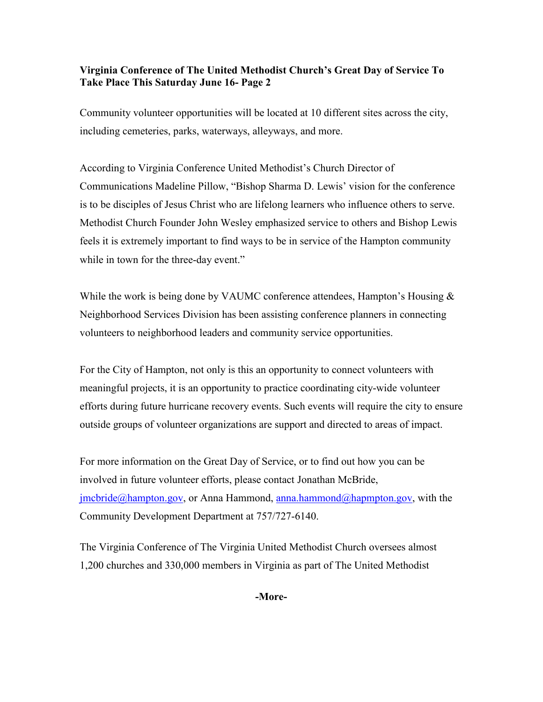## **Virginia Conference of The United Methodist Church's Great Day of Service To Take Place This Saturday June 16- Page 2**

Community volunteer opportunities will be located at 10 different sites across the city, including cemeteries, parks, waterways, alleyways, and more.

According to Virginia Conference United Methodist's Church Director of Communications Madeline Pillow, "Bishop Sharma D. Lewis' vision for the conference is to be disciples of Jesus Christ who are lifelong learners who influence others to serve. Methodist Church Founder John Wesley emphasized service to others and Bishop Lewis feels it is extremely important to find ways to be in service of the Hampton community while in town for the three-day event."

While the work is being done by VAUMC conference attendees, Hampton's Housing  $\&$ Neighborhood Services Division has been assisting conference planners in connecting volunteers to neighborhood leaders and community service opportunities.

For the City of Hampton, not only is this an opportunity to connect volunteers with meaningful projects, it is an opportunity to practice coordinating city-wide volunteer efforts during future hurricane recovery events. Such events will require the city to ensure outside groups of volunteer organizations are support and directed to areas of impact.

For more information on the Great Day of Service, or to find out how you can be involved in future volunteer efforts, please contact Jonathan McBride, [jmcbride@hampton.gov,](mailto:jmcbride@hampton.gov) or Anna Hammond, [anna.hammond@hapmpton.gov,](mailto:anna.hammond@hapmpton.gov) with the Community Development Department at 757/727-6140.

The Virginia Conference of The Virginia United Methodist Church oversees almost 1,200 churches and 330,000 members in Virginia as part of The United Methodist

**-More-**